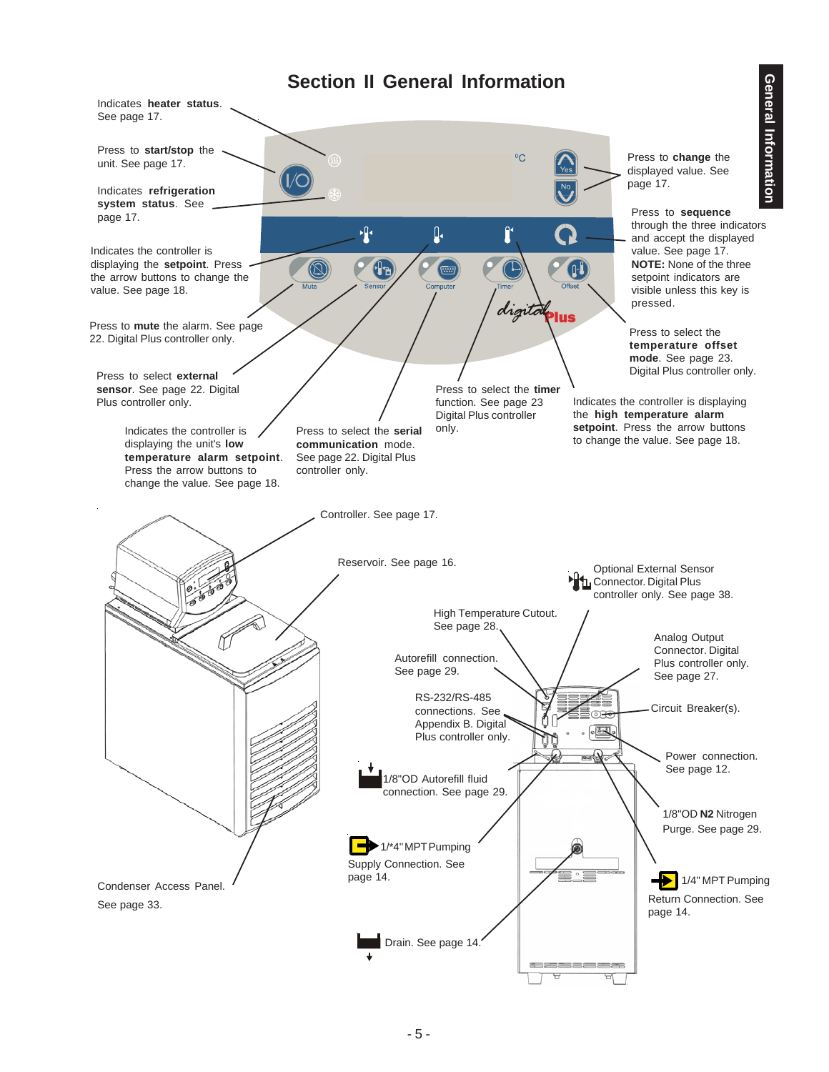# **Section II General Information**

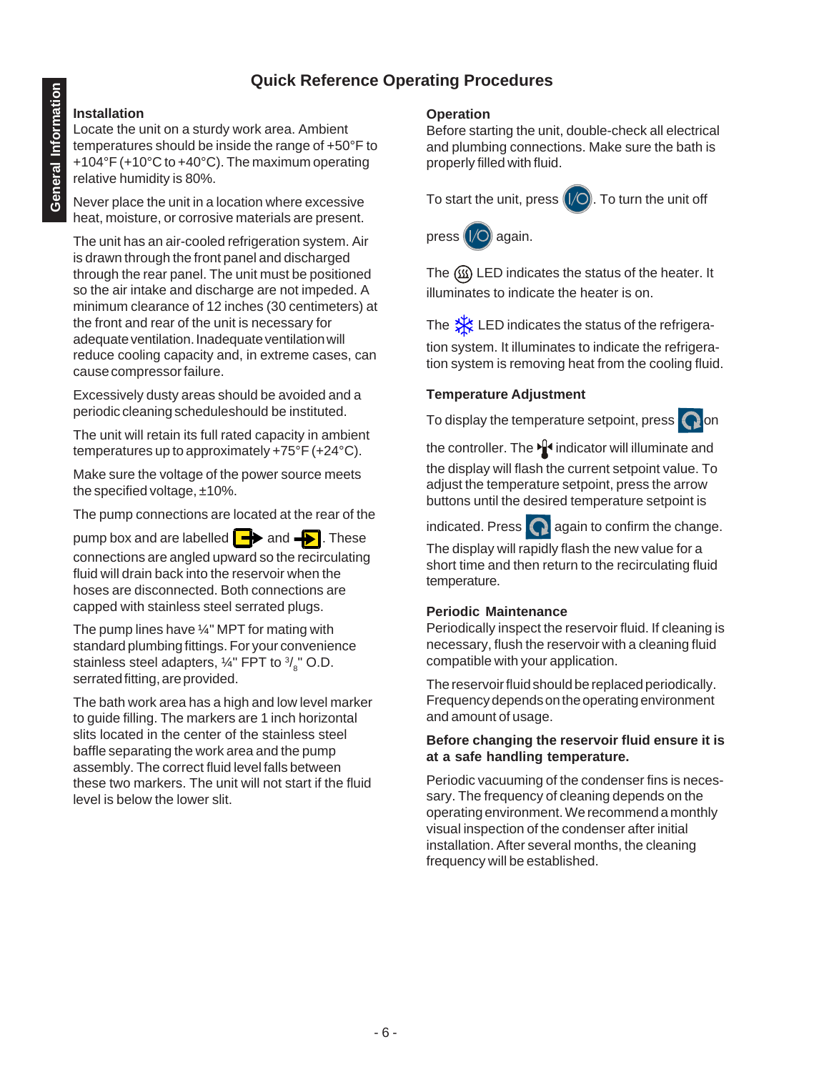## **Quick Reference Operating Procedures**

#### **Installation**

Locate the unit on a sturdy work area. Ambient temperatures should be inside the range of +50°F to +104°F (+10°C to +40°C). The maximum operating relative humidity is 80%.

Never place the unit in a location where excessive heat, moisture, or corrosive materials are present.

The unit has an air-cooled refrigeration system. Air is drawn through the front panel and discharged through the rear panel. The unit must be positioned so the air intake and discharge are not impeded. A minimum clearance of 12 inches (30 centimeters) at the front and rear of the unit is necessary for adequate ventilation. Inadequate ventilation will reduce cooling capacity and, in extreme cases, can cause compressor failure.

Excessively dusty areas should be avoided and a periodic cleaning scheduleshould be instituted.

The unit will retain its full rated capacity in ambient temperatures up to approximately +75°F (+24°C).

Make sure the voltage of the power source meets the specified voltage, ±10%.

The pump connections are located at the rear of the

pump box and are labelled  $\rightarrow$  and  $\rightarrow$  . These connections are angled upward so the recirculating fluid will drain back into the reservoir when the hoses are disconnected. Both connections are capped with stainless steel serrated plugs.

The pump lines have ¼" MPT for mating with standard plumbing fittings. For your convenience stainless steel adapters,  $\frac{1}{4}$ " FPT to  $\frac{3}{8}$ " O.D. serrated fitting, are provided.

The bath work area has a high and low level marker to guide filling. The markers are 1 inch horizontal slits located in the center of the stainless steel baffle separating the work area and the pump assembly. The correct fluid level falls between these two markers. The unit will not start if the fluid level is below the lower slit.

#### **Operation**

Before starting the unit, double-check all electrical and plumbing connections. Make sure the bath is properly filled with fluid.

To start the unit, press  $\left(\sqrt{\frac{1}{2}}\right)$ . To turn the unit off



The LED indicates the status of the heater. It illuminates to indicate the heater is on.

The  $\frac{1}{2}$  LED indicates the status of the refrigera-

tion system. It illuminates to indicate the refrigeration system is removing heat from the cooling fluid.

#### **Temperature Adjustment**

To display the temperature setpoint, press  $\bigcap$  on

the controller. The  $\mathbf{I}$  indicator will illuminate and the display will flash the current setpoint value. To adjust the temperature setpoint, press the arrow buttons until the desired temperature setpoint is

indicated. Press  $\bigcap$  again to confirm the change.

The display will rapidly flash the new value for a short time and then return to the recirculating fluid temperature.

#### **Periodic Maintenance**

Periodically inspect the reservoir fluid. If cleaning is necessary, flush the reservoir with a cleaning fluid compatible with your application.

The reservoir fluid should be replaced periodically. Frequency depends on the operating environment and amount of usage.

#### **Before changing the reservoir fluid ensure it is at a safe handling temperature.**

Periodic vacuuming of the condenser fins is necessary. The frequency of cleaning depends on the operating environment. We recommend a monthly visual inspection of the condenser after initial installation. After several months, the cleaning frequency will be established.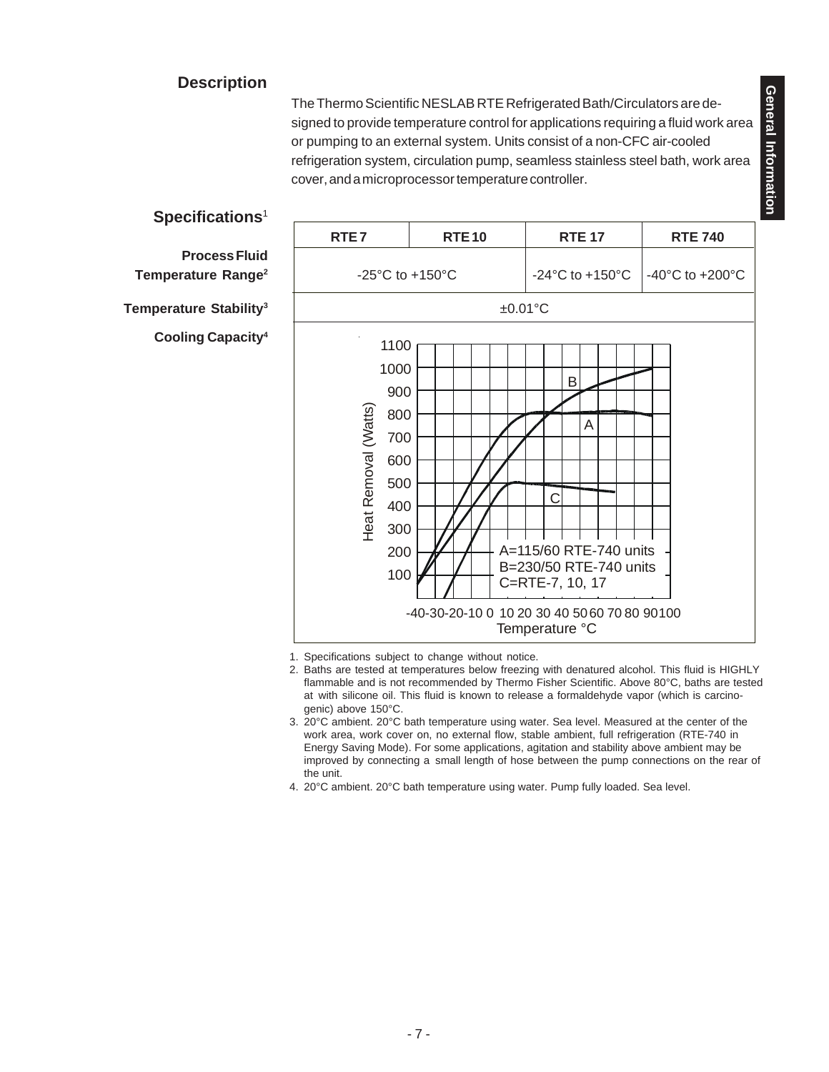# General Information **General Information**

### **Description**

The Thermo Scientific NESLAB RTE Refrigerated Bath/Circulators are designed to provide temperature control for applications requiring a fluid work area or pumping to an external system. Units consist of a non-CFC air-cooled refrigeration system, circulation pump, seamless stainless steel bath, work area cover, and a microprocessor temperature controller.



- 1. Specifications subject to change without notice.
- 2. Baths are tested at temperatures below freezing with denatured alcohol. This fluid is HIGHLY flammable and is not recommended by Thermo Fisher Scientific. Above 80°C, baths are tested at with silicone oil. This fluid is known to release a formaldehyde vapor (which is carcinogenic) above 150°C.
- 3. 20°C ambient. 20°C bath temperature using water. Sea level. Measured at the center of the work area, work cover on, no external flow, stable ambient, full refrigeration (RTE-740 in Energy Saving Mode). For some applications, agitation and stability above ambient may be improved by connecting a small length of hose between the pump connections on the rear of the unit.
- 4. 20°C ambient. 20°C bath temperature using water. Pump fully loaded. Sea level.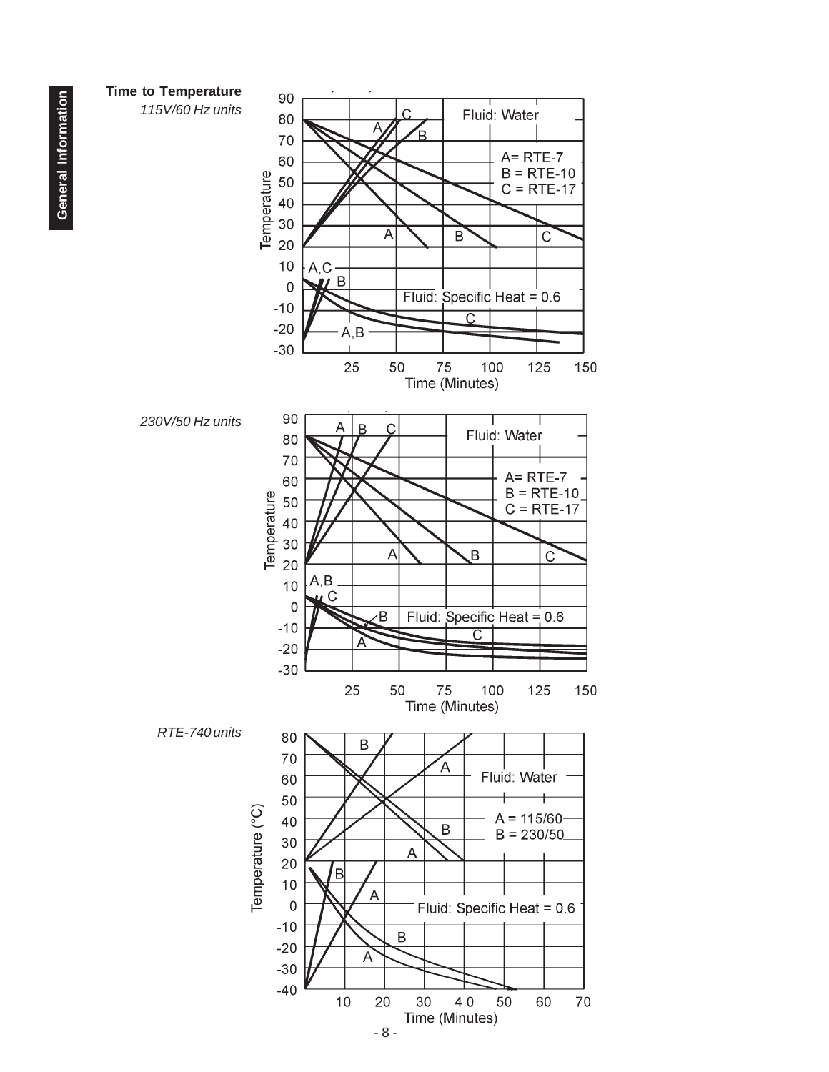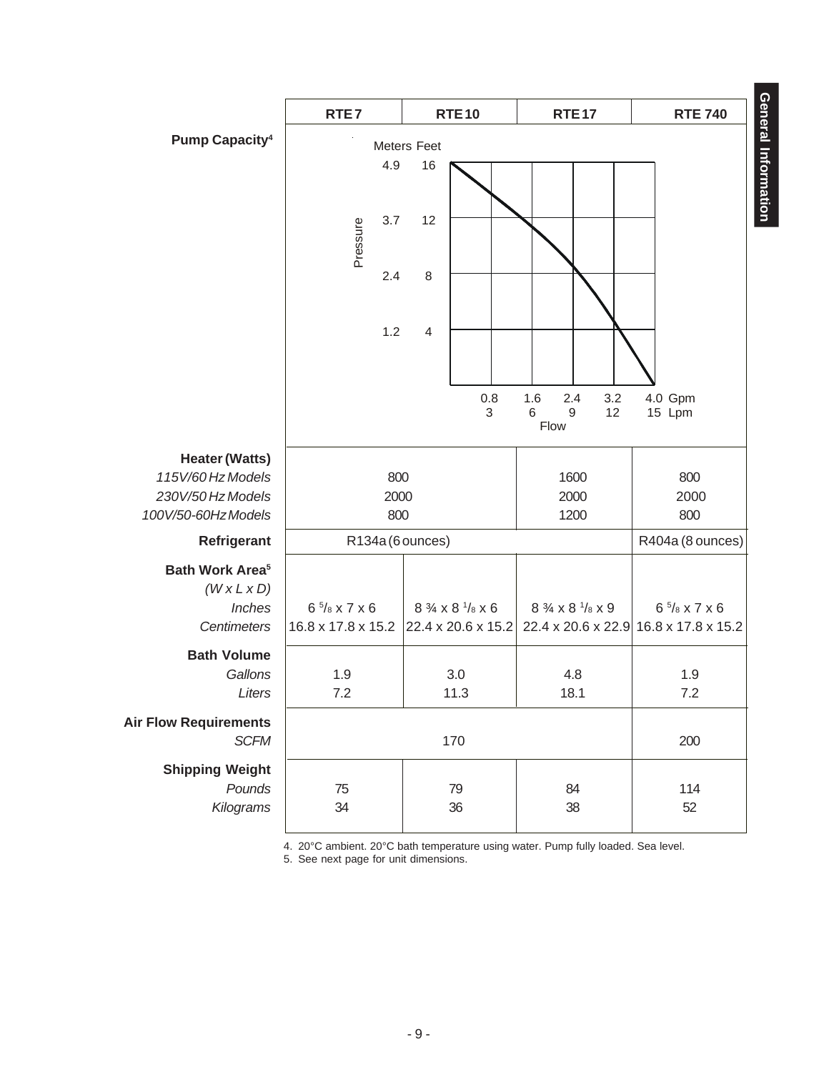|                                                              | RTE7                   | <b>RTE10</b>                        | <b>RTE17</b>                                  | <b>RTE 740</b>                        |  |  |
|--------------------------------------------------------------|------------------------|-------------------------------------|-----------------------------------------------|---------------------------------------|--|--|
| <b>Pump Capacity4</b>                                        |                        |                                     |                                               |                                       |  |  |
|                                                              | Meters Feet            |                                     |                                               |                                       |  |  |
|                                                              | 4.9                    | 16                                  |                                               | General Information                   |  |  |
|                                                              | 3.7<br>Pressure        | 12                                  |                                               |                                       |  |  |
|                                                              | 2.4                    | 8                                   |                                               |                                       |  |  |
|                                                              | 1.2                    | $\overline{4}$                      |                                               |                                       |  |  |
|                                                              |                        | 0.8<br>3                            | 1.6<br>2.4<br>3.2<br>$\,6$<br>9<br>12<br>Flow | 4.0 Gpm<br>15 Lpm                     |  |  |
| <b>Heater (Watts)</b>                                        |                        |                                     |                                               |                                       |  |  |
| 115V/60 Hz Models                                            | 800                    |                                     | 1600                                          | 800                                   |  |  |
| 230V/50 Hz Models                                            | 2000                   |                                     | 2000                                          | 2000                                  |  |  |
| 100V/50-60HzModels                                           | 800                    |                                     | 1200                                          | 800                                   |  |  |
| Refrigerant                                                  | R134a (6 ounces)       |                                     |                                               | R404a (8 ounces)                      |  |  |
| <b>Bath Work Area<sup>5</sup></b><br>$(W \times L \times D)$ |                        |                                     |                                               |                                       |  |  |
| Inches                                                       | $6\frac{5}{8}$ x 7 x 6 | $8\frac{3}{4}$ x $8\frac{1}{8}$ x 6 | 8 3/4 x 8 1/8 x 9                             | $6\frac{5}{8}$ x 7 x 6                |  |  |
| Centimeters                                                  | 16.8 x 17.8 x 15.2     | 22.4 x 20.6 x 15.2                  |                                               | 22.4 x 20.6 x 22.9 16.8 x 17.8 x 15.2 |  |  |
| <b>Bath Volume</b>                                           |                        |                                     |                                               |                                       |  |  |
| Gallons                                                      | 1.9                    | 3.0                                 | 4.8                                           | 1.9                                   |  |  |
| Liters                                                       | 7.2                    | 11.3                                | 18.1                                          | 7.2                                   |  |  |
| <b>Air Flow Requirements</b><br><b>SCFM</b>                  | 170                    |                                     |                                               | 200                                   |  |  |
| <b>Shipping Weight</b>                                       |                        |                                     |                                               |                                       |  |  |
| Pounds                                                       | 75                     | 79                                  | 84                                            | 114                                   |  |  |
| Kilograms                                                    | 34                     | 36                                  | 38                                            | 52                                    |  |  |
|                                                              |                        |                                     |                                               |                                       |  |  |

4. 20°C ambient. 20°C bath temperature using water. Pump fully loaded. Sea level.

5. See next page for unit dimensions.